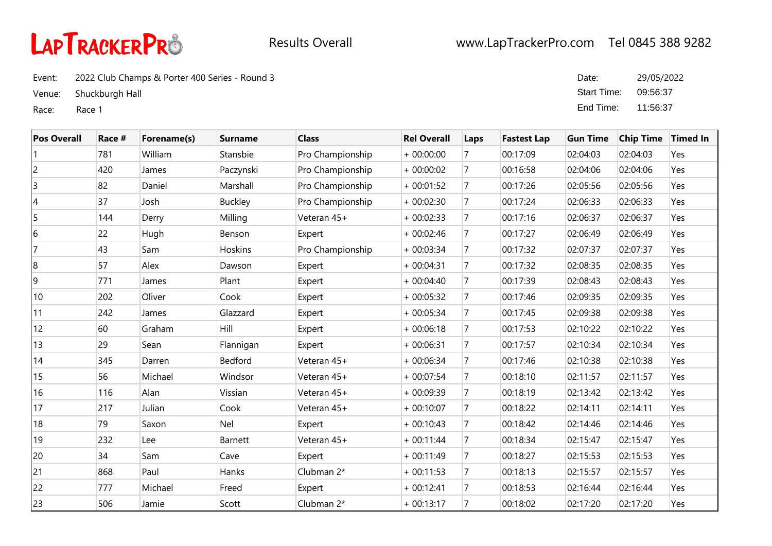

Event: 2022 Club Champs & Porter 400 Series - Round 3

Venue: Shuckburgh Hall

Race: Race 1

| Date:       | 29/05/2022 |
|-------------|------------|
| Start Time: | 09:56:37   |
| End Time:   | 11:56:37   |

| <b>Pos Overall</b> | Race # | Forename(s) | <b>Surname</b> | <b>Class</b>     | <b>Rel Overall</b> | Laps           | <b>Fastest Lap</b> | <b>Gun Time</b> | <b>Chip Time</b> | <b>Timed In</b> |
|--------------------|--------|-------------|----------------|------------------|--------------------|----------------|--------------------|-----------------|------------------|-----------------|
|                    | 781    | William     | Stansbie       | Pro Championship | $+00:00:00$        |                | 00:17:09           | 02:04:03        | 02:04:03         | Yes             |
| 2                  | 420    | James       | Paczynski      | Pro Championship | $+00:00:02$        | $\overline{7}$ | 00:16:58           | 02:04:06        | 02:04:06         | Yes             |
| $\overline{3}$     | 82     | Daniel      | Marshall       | Pro Championship | $+00:01:52$        | 7              | 00:17:26           | 02:05:56        | 02:05:56         | Yes             |
| 14                 | 37     | Josh        | <b>Buckley</b> | Pro Championship | $+00:02:30$        | 7              | 00:17:24           | 02:06:33        | 02:06:33         | Yes             |
| 5                  | 144    | Derry       | Milling        | Veteran 45+      | $+00:02:33$        | 7              | 00:17:16           | 02:06:37        | 02:06:37         | Yes             |
| 16                 | 22     | Hugh        | Benson         | Expert           | $+00:02:46$        | $\overline{7}$ | 00:17:27           | 02:06:49        | 02:06:49         | Yes             |
| 17                 | 43     | Sam         | Hoskins        | Pro Championship | $+00:03:34$        | $\overline{7}$ | 00:17:32           | 02:07:37        | 02:07:37         | Yes             |
| 8                  | 57     | Alex        | Dawson         | Expert           | $+00:04:31$        | $\overline{7}$ | 00:17:32           | 02:08:35        | 02:08:35         | Yes             |
| 9                  | 771    | James       | Plant          | Expert           | $+00:04:40$        | $\overline{7}$ | 00:17:39           | 02:08:43        | 02:08:43         | Yes             |
| 10                 | 202    | Oliver      | Cook           | Expert           | $+00:05:32$        | $\overline{7}$ | 00:17:46           | 02:09:35        | 02:09:35         | Yes             |
| 11                 | 242    | James       | Glazzard       | Expert           | $+00:05:34$        | $\overline{7}$ | 00:17:45           | 02:09:38        | 02:09:38         | Yes             |
| 12                 | 60     | Graham      | Hill           | Expert           | $+00:06:18$        | 7              | 00:17:53           | 02:10:22        | 02:10:22         | Yes             |
| 13                 | 29     | Sean        | Flannigan      | Expert           | $+00:06:31$        | 7              | 00:17:57           | 02:10:34        | 02:10:34         | Yes             |
| 14                 | 345    | Darren      | Bedford        | Veteran 45+      | $+00:06:34$        | 7              | 00:17:46           | 02:10:38        | 02:10:38         | Yes             |
| 15                 | 56     | Michael     | Windsor        | Veteran 45+      | $+00:07:54$        | $\overline{7}$ | 00:18:10           | 02:11:57        | 02:11:57         | Yes             |
| 16                 | 116    | Alan        | Vissian        | Veteran 45+      | $+00:09:39$        | 7              | 00:18:19           | 02:13:42        | 02:13:42         | Yes             |
| 17                 | 217    | Julian      | Cook           | Veteran 45+      | $+00:10:07$        | $\overline{7}$ | 00:18:22           | 02:14:11        | 02:14:11         | Yes             |
| 18                 | 79     | Saxon       | Nel            | Expert           | $+00:10:43$        | $\overline{7}$ | 00:18:42           | 02:14:46        | 02:14:46         | Yes             |
| 19                 | 232    | Lee         | Barnett        | Veteran 45+      | $+00:11:44$        | $\overline{7}$ | 00:18:34           | 02:15:47        | 02:15:47         | Yes             |
| 20                 | 34     | Sam         | Cave           | Expert           | $+00:11:49$        | $\overline{7}$ | 00:18:27           | 02:15:53        | 02:15:53         | Yes             |
| 21                 | 868    | Paul        | Hanks          | Clubman 2*       | $+00:11:53$        | 7              | 00:18:13           | 02:15:57        | 02:15:57         | Yes             |
| 22                 | 777    | Michael     | Freed          | Expert           | $+00:12:41$        | 7              | 00:18:53           | 02:16:44        | 02:16:44         | Yes             |
| 23                 | 506    | Jamie       | Scott          | Clubman 2*       | $+00:13:17$        | 7              | 00:18:02           | 02:17:20        | 02:17:20         | Yes             |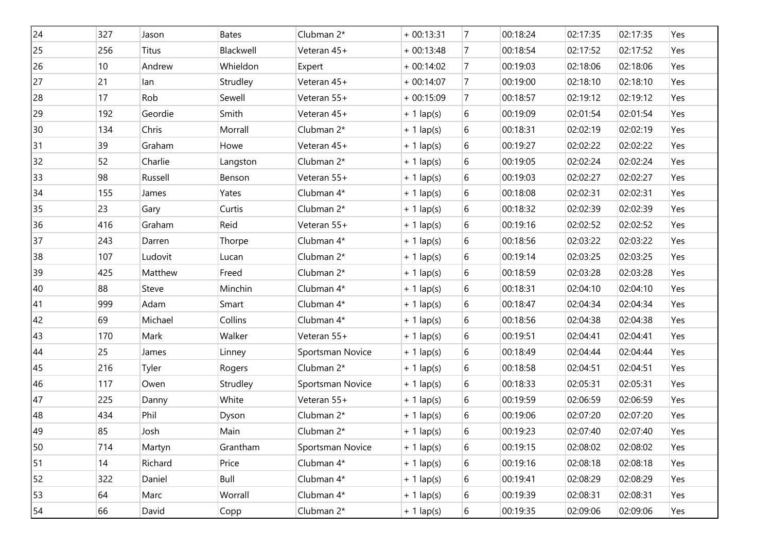| 24 | 327 | Jason        | Bates     | Clubman 2*       | $+00:13:31$  | $\overline{7}$ | 00:18:24 | 02:17:35 | 02:17:35 | Yes |
|----|-----|--------------|-----------|------------------|--------------|----------------|----------|----------|----------|-----|
| 25 | 256 | <b>Titus</b> | Blackwell | Veteran 45+      | $+00:13:48$  | 7              | 00:18:54 | 02:17:52 | 02:17:52 | Yes |
| 26 | 10  | Andrew       | Whieldon  | Expert           | $+00:14:02$  | 7              | 00:19:03 | 02:18:06 | 02:18:06 | Yes |
| 27 | 21  | lan          | Strudley  | Veteran 45+      | $+00:14:07$  | 7              | 00:19:00 | 02:18:10 | 02:18:10 | Yes |
| 28 | 17  | Rob          | Sewell    | Veteran 55+      | $+00:15:09$  | 7              | 00:18:57 | 02:19:12 | 02:19:12 | Yes |
| 29 | 192 | Geordie      | Smith     | Veteran 45+      | $+ 1$ lap(s) | 6              | 00:19:09 | 02:01:54 | 02:01:54 | Yes |
| 30 | 134 | Chris        | Morrall   | Clubman 2*       | $+ 1$ lap(s) | 6              | 00:18:31 | 02:02:19 | 02:02:19 | Yes |
| 31 | 39  | Graham       | Howe      | Veteran 45+      | $+ 1$ lap(s) | 6              | 00:19:27 | 02:02:22 | 02:02:22 | Yes |
| 32 | 52  | Charlie      | Langston  | Clubman 2*       | $+ 1$ lap(s) | 6              | 00:19:05 | 02:02:24 | 02:02:24 | Yes |
| 33 | 98  | Russell      | Benson    | Veteran 55+      | $+ 1$ lap(s) | 6              | 00:19:03 | 02:02:27 | 02:02:27 | Yes |
| 34 | 155 | James        | Yates     | Clubman 4*       | $+ 1$ lap(s) | 6              | 00:18:08 | 02:02:31 | 02:02:31 | Yes |
| 35 | 23  | Gary         | Curtis    | Clubman 2*       | $+ 1$ lap(s) | 6              | 00:18:32 | 02:02:39 | 02:02:39 | Yes |
| 36 | 416 | Graham       | Reid      | Veteran 55+      | $+ 1$ lap(s) | 6              | 00:19:16 | 02:02:52 | 02:02:52 | Yes |
| 37 | 243 | Darren       | Thorpe    | Clubman 4*       | $+ 1$ lap(s) | 6              | 00:18:56 | 02:03:22 | 02:03:22 | Yes |
| 38 | 107 | Ludovit      | Lucan     | Clubman 2*       | $+ 1$ lap(s) | 6              | 00:19:14 | 02:03:25 | 02:03:25 | Yes |
| 39 | 425 | Matthew      | Freed     | Clubman 2*       | $+ 1$ lap(s) | 6              | 00:18:59 | 02:03:28 | 02:03:28 | Yes |
| 40 | 88  | Steve        | Minchin   | Clubman 4*       | $+ 1$ lap(s) | 6              | 00:18:31 | 02:04:10 | 02:04:10 | Yes |
| 41 | 999 | Adam         | Smart     | Clubman 4*       | $+ 1$ lap(s) | 6              | 00:18:47 | 02:04:34 | 02:04:34 | Yes |
| 42 | 69  | Michael      | Collins   | Clubman 4*       | $+ 1$ lap(s) | 6              | 00:18:56 | 02:04:38 | 02:04:38 | Yes |
| 43 | 170 | Mark         | Walker    | Veteran 55+      | $+ 1$ lap(s) | 6              | 00:19:51 | 02:04:41 | 02:04:41 | Yes |
| 44 | 25  | James        | Linney    | Sportsman Novice | $+ 1$ lap(s) | 6              | 00:18:49 | 02:04:44 | 02:04:44 | Yes |
| 45 | 216 | Tyler        | Rogers    | Clubman 2*       | $+ 1$ lap(s) | 6              | 00:18:58 | 02:04:51 | 02:04:51 | Yes |
| 46 | 117 | Owen         | Strudley  | Sportsman Novice | $+ 1$ lap(s) | 6              | 00:18:33 | 02:05:31 | 02:05:31 | Yes |
| 47 | 225 | Danny        | White     | Veteran 55+      | $+ 1$ lap(s) | 6              | 00:19:59 | 02:06:59 | 02:06:59 | Yes |
| 48 | 434 | Phil         | Dyson     | Clubman 2*       | $+ 1$ lap(s) | 6              | 00:19:06 | 02:07:20 | 02:07:20 | Yes |
| 49 | 85  | Josh         | Main      | Clubman 2*       | $+1$ lap(s)  | 6              | 00:19:23 | 02:07:40 | 02:07:40 | Yes |
| 50 | 714 | Martyn       | Grantham  | Sportsman Novice | $+1$ lap(s)  | 6              | 00:19:15 | 02:08:02 | 02:08:02 | Yes |
| 51 | 14  | Richard      | Price     | Clubman 4*       | $+ 1$ lap(s) | 6              | 00:19:16 | 02:08:18 | 02:08:18 | Yes |
| 52 | 322 | Daniel       | Bull      | Clubman 4*       | $+ 1$ lap(s) | 6              | 00:19:41 | 02:08:29 | 02:08:29 | Yes |
| 53 | 64  | Marc         | Worrall   | Clubman 4*       | $+ 1$ lap(s) | 6              | 00:19:39 | 02:08:31 | 02:08:31 | Yes |
| 54 | 66  | David        | Copp      | Clubman 2*       | $+ 1$ lap(s) | 6              | 00:19:35 | 02:09:06 | 02:09:06 | Yes |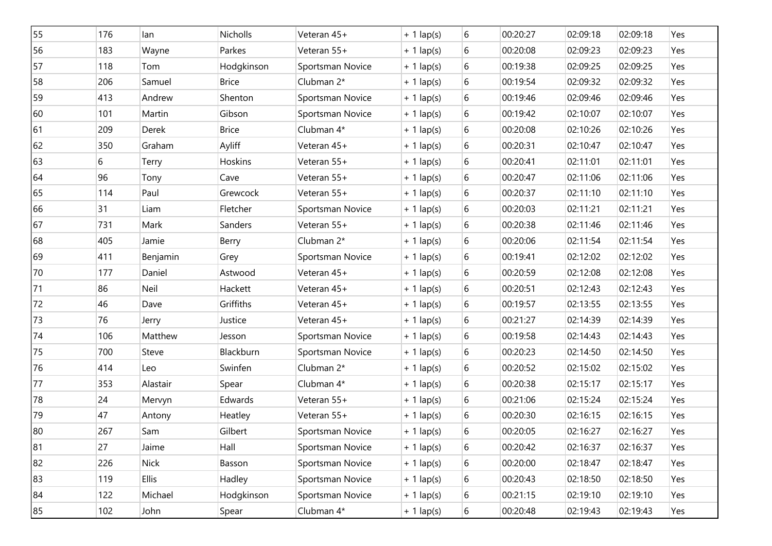| 55 | 176 | lan          | Nicholls     | Veteran 45+      | $+ 1$ lap(s) | 6     | 00:20:27 | 02:09:18 | 02:09:18 | Yes |
|----|-----|--------------|--------------|------------------|--------------|-------|----------|----------|----------|-----|
| 56 | 183 | Wayne        | Parkes       | Veteran 55+      | $+ 1$ lap(s) | 6     | 00:20:08 | 02:09:23 | 02:09:23 | Yes |
| 57 | 118 | Tom          | Hodgkinson   | Sportsman Novice | $+ 1$ lap(s) | 6     | 00:19:38 | 02:09:25 | 02:09:25 | Yes |
| 58 | 206 | Samuel       | <b>Brice</b> | Clubman 2*       | $+ 1$ lap(s) | 6     | 00:19:54 | 02:09:32 | 02:09:32 | Yes |
| 59 | 413 | Andrew       | Shenton      | Sportsman Novice | $+ 1$ lap(s) | 6     | 00:19:46 | 02:09:46 | 02:09:46 | Yes |
| 60 | 101 | Martin       | Gibson       | Sportsman Novice | $+1$ lap(s)  | 6     | 00:19:42 | 02:10:07 | 02:10:07 | Yes |
| 61 | 209 | Derek        | <b>Brice</b> | Clubman 4*       | $+1$ lap(s)  | 6     | 00:20:08 | 02:10:26 | 02:10:26 | Yes |
| 62 | 350 | Graham       | Ayliff       | Veteran 45+      | $+1$ lap(s)  | 6     | 00:20:31 | 02:10:47 | 02:10:47 | Yes |
| 63 | 6   | Terry        | Hoskins      | Veteran 55+      | $+1$ lap(s)  | $6\,$ | 00:20:41 | 02:11:01 | 02:11:01 | Yes |
| 64 | 96  | Tony         | Cave         | Veteran 55+      | $+ 1$ lap(s) | 6     | 00:20:47 | 02:11:06 | 02:11:06 | Yes |
| 65 | 114 | Paul         | Grewcock     | Veteran 55+      | $+ 1$ lap(s) | 6     | 00:20:37 | 02:11:10 | 02:11:10 | Yes |
| 66 | 31  | Liam         | Fletcher     | Sportsman Novice | $+ 1$ lap(s) | 6     | 00:20:03 | 02:11:21 | 02:11:21 | Yes |
| 67 | 731 | Mark         | Sanders      | Veteran 55+      | $+ 1$ lap(s) | 6     | 00:20:38 | 02:11:46 | 02:11:46 | Yes |
| 68 | 405 | Jamie        | Berry        | Clubman 2*       | $+1$ lap(s)  | 6     | 00:20:06 | 02:11:54 | 02:11:54 | Yes |
| 69 | 411 | Benjamin     | Grey         | Sportsman Novice | $+ 1$ lap(s) | 6     | 00:19:41 | 02:12:02 | 02:12:02 | Yes |
| 70 | 177 | Daniel       | Astwood      | Veteran 45+      | $+1$ lap(s)  | 6     | 00:20:59 | 02:12:08 | 02:12:08 | Yes |
| 71 | 86  | Neil         | Hackett      | Veteran 45+      | $+1$ lap(s)  | 6     | 00:20:51 | 02:12:43 | 02:12:43 | Yes |
| 72 | 46  | Dave         | Griffiths    | Veteran 45+      | $+1$ lap(s)  | 6     | 00:19:57 | 02:13:55 | 02:13:55 | Yes |
| 73 | 76  | Jerry        | Justice      | Veteran 45+      | $+ 1$ lap(s) | 6     | 00:21:27 | 02:14:39 | 02:14:39 | Yes |
| 74 | 106 | Matthew      | Jesson       | Sportsman Novice | $+ 1$ lap(s) | 6     | 00:19:58 | 02:14:43 | 02:14:43 | Yes |
| 75 | 700 | Steve        | Blackburn    | Sportsman Novice | $+1$ lap(s)  | 6     | 00:20:23 | 02:14:50 | 02:14:50 | Yes |
| 76 | 414 | Leo          | Swinfen      | Clubman 2*       | $+ 1$ lap(s) | 6     | 00:20:52 | 02:15:02 | 02:15:02 | Yes |
| 77 | 353 | Alastair     | Spear        | Clubman 4*       | $+ 1$ lap(s) | 6     | 00:20:38 | 02:15:17 | 02:15:17 | Yes |
| 78 | 24  | Mervyn       | Edwards      | Veteran 55+      | $+1$ lap(s)  | 6     | 00:21:06 | 02:15:24 | 02:15:24 | Yes |
| 79 | 47  | Antony       | Heatley      | Veteran 55+      | $+ 1$ lap(s) | 6     | 00:20:30 | 02:16:15 | 02:16:15 | Yes |
| 80 | 267 | Sam          | Gilbert      | Sportsman Novice | $+1$ lap(s)  | 6     | 00:20:05 | 02:16:27 | 02:16:27 | Yes |
| 81 | 27  | Jaime        | Hall         | Sportsman Novice | $+ 1$ lap(s) | 6     | 00:20:42 | 02:16:37 | 02:16:37 | Yes |
| 82 | 226 | <b>Nick</b>  | Basson       | Sportsman Novice | $+ 1$ lap(s) | 6     | 00:20:00 | 02:18:47 | 02:18:47 | Yes |
| 83 | 119 | <b>Ellis</b> | Hadley       | Sportsman Novice | $+ 1$ lap(s) | 6     | 00:20:43 | 02:18:50 | 02:18:50 | Yes |
| 84 | 122 | Michael      | Hodgkinson   | Sportsman Novice | $+ 1$ lap(s) | 6     | 00:21:15 | 02:19:10 | 02:19:10 | Yes |
| 85 | 102 | John         | Spear        | Clubman 4*       | $+ 1$ lap(s) | 6     | 00:20:48 | 02:19:43 | 02:19:43 | Yes |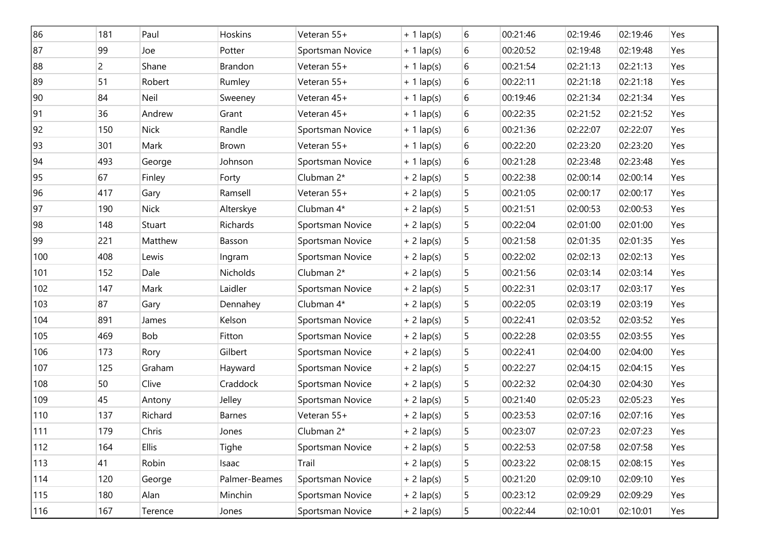| 86  | 181          | Paul         | Hoskins       | Veteran 55+      | $+ 1$ lap(s) | 6 | 00:21:46 | 02:19:46 | 02:19:46 | Yes |
|-----|--------------|--------------|---------------|------------------|--------------|---|----------|----------|----------|-----|
| 87  | 99           | Joe          | Potter        | Sportsman Novice | $+ 1$ lap(s) | 6 | 00:20:52 | 02:19:48 | 02:19:48 | Yes |
| 88  | $\mathsf{2}$ | Shane        | Brandon       | Veteran 55+      | $+ 1$ lap(s) | 6 | 00:21:54 | 02:21:13 | 02:21:13 | Yes |
| 89  | 51           | Robert       | Rumley        | Veteran 55+      | $+ 1$ lap(s) | 6 | 00:22:11 | 02:21:18 | 02:21:18 | Yes |
| 90  | 84           | Neil         | Sweeney       | Veteran 45+      | $+ 1$ lap(s) | 6 | 00:19:46 | 02:21:34 | 02:21:34 | Yes |
| 91  | 36           | Andrew       | Grant         | Veteran 45+      | $+ 1$ lap(s) | 6 | 00:22:35 | 02:21:52 | 02:21:52 | Yes |
| 92  | 150          | <b>Nick</b>  | Randle        | Sportsman Novice | $+ 1$ lap(s) | 6 | 00:21:36 | 02:22:07 | 02:22:07 | Yes |
| 93  | 301          | Mark         | <b>Brown</b>  | Veteran 55+      | $+ 1$ lap(s) | 6 | 00:22:20 | 02:23:20 | 02:23:20 | Yes |
| 94  | 493          | George       | Johnson       | Sportsman Novice | $+ 1$ lap(s) | 6 | 00:21:28 | 02:23:48 | 02:23:48 | Yes |
| 95  | 67           | Finley       | Forty         | Clubman 2*       | $+ 2$ lap(s) | 5 | 00:22:38 | 02:00:14 | 02:00:14 | Yes |
| 96  | 417          | Gary         | Ramsell       | Veteran 55+      | $+ 2$ lap(s) | 5 | 00:21:05 | 02:00:17 | 02:00:17 | Yes |
| 97  | 190          | <b>Nick</b>  | Alterskye     | Clubman 4*       | $+ 2$ lap(s) | 5 | 00:21:51 | 02:00:53 | 02:00:53 | Yes |
| 98  | 148          | Stuart       | Richards      | Sportsman Novice | $+ 2$ lap(s) | 5 | 00:22:04 | 02:01:00 | 02:01:00 | Yes |
| 99  | 221          | Matthew      | Basson        | Sportsman Novice | $+ 2$ lap(s) | 5 | 00:21:58 | 02:01:35 | 02:01:35 | Yes |
| 100 | 408          | Lewis        | Ingram        | Sportsman Novice | $+ 2$ lap(s) | 5 | 00:22:02 | 02:02:13 | 02:02:13 | Yes |
| 101 | 152          | Dale         | Nicholds      | Clubman 2*       | $+ 2$ lap(s) | 5 | 00:21:56 | 02:03:14 | 02:03:14 | Yes |
| 102 | 147          | Mark         | Laidler       | Sportsman Novice | $+ 2$ lap(s) | 5 | 00:22:31 | 02:03:17 | 02:03:17 | Yes |
| 103 | 87           | Gary         | Dennahey      | Clubman 4*       | $+ 2$ lap(s) | 5 | 00:22:05 | 02:03:19 | 02:03:19 | Yes |
| 104 | 891          | James        | Kelson        | Sportsman Novice | $+ 2$ lap(s) | 5 | 00:22:41 | 02:03:52 | 02:03:52 | Yes |
| 105 | 469          | Bob          | Fitton        | Sportsman Novice | $+ 2$ lap(s) | 5 | 00:22:28 | 02:03:55 | 02:03:55 | Yes |
| 106 | 173          | Rory         | Gilbert       | Sportsman Novice | $+ 2$ lap(s) | 5 | 00:22:41 | 02:04:00 | 02:04:00 | Yes |
| 107 | 125          | Graham       | Hayward       | Sportsman Novice | $+ 2$ lap(s) | 5 | 00:22:27 | 02:04:15 | 02:04:15 | Yes |
| 108 | 50           | Clive        | Craddock      | Sportsman Novice | $+ 2$ lap(s) | 5 | 00:22:32 | 02:04:30 | 02:04:30 | Yes |
| 109 | 45           | Antony       | Jelley        | Sportsman Novice | $+ 2$ lap(s) | 5 | 00:21:40 | 02:05:23 | 02:05:23 | Yes |
| 110 | 137          | Richard      | <b>Barnes</b> | Veteran 55+      | $+ 2$ lap(s) | 5 | 00:23:53 | 02:07:16 | 02:07:16 | Yes |
| 111 | 179          | Chris        | Jones         | Clubman 2*       | $+ 2$ lap(s) | 5 | 00:23:07 | 02:07:23 | 02:07:23 | Yes |
| 112 | 164          | <b>Ellis</b> | Tighe         | Sportsman Novice | $+ 2$ lap(s) | 5 | 00:22:53 | 02:07:58 | 02:07:58 | Yes |
| 113 | 41           | Robin        | Isaac         | Trail            | $+ 2$ lap(s) | 5 | 00:23:22 | 02:08:15 | 02:08:15 | Yes |
| 114 | 120          | George       | Palmer-Beames | Sportsman Novice | $+ 2$ lap(s) | 5 | 00:21:20 | 02:09:10 | 02:09:10 | Yes |
| 115 | 180          | Alan         | Minchin       | Sportsman Novice | $+ 2$ lap(s) | 5 | 00:23:12 | 02:09:29 | 02:09:29 | Yes |
| 116 | 167          | Terence      | Jones         | Sportsman Novice | $+ 2$ lap(s) | 5 | 00:22:44 | 02:10:01 | 02:10:01 | Yes |